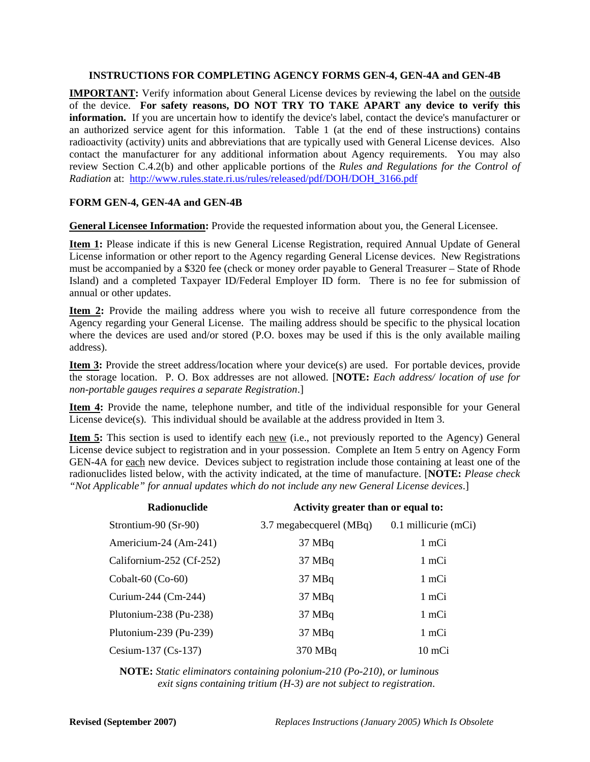## **INSTRUCTIONS FOR COMPLETING AGENCY FORMS GEN-4, GEN-4A and GEN-4B**

**IMPORTANT:** Verify information about General License devices by reviewing the label on the outside of the device. **For safety reasons, DO NOT TRY TO TAKE APART any device to verify this information.** If you are uncertain how to identify the device's label, contact the device's manufacturer or an authorized service agent for this information. Table 1 (at the end of these instructions) contains radioactivity (activity) units and abbreviations that are typically used with General License devices. Also contact the manufacturer for any additional information about Agency requirements. You may also review Section C.4.2(b) and other applicable portions of the *Rules and Regulations for the Control of Radiation* at: http://www.rules.state.ri.us/rules/released/pdf/DOH/DOH\_3166.pdf

## **FORM GEN-4, GEN-4A and GEN-4B**

**General Licensee Information:** Provide the requested information about you, the General Licensee.

**Item 1:** Please indicate if this is new General License Registration, required Annual Update of General License information or other report to the Agency regarding General License devices. New Registrations must be accompanied by a \$320 fee (check or money order payable to General Treasurer – State of Rhode Island) and a completed Taxpayer ID/Federal Employer ID form. There is no fee for submission of annual or other updates.

**Item 2:** Provide the mailing address where you wish to receive all future correspondence from the Agency regarding your General License. The mailing address should be specific to the physical location where the devices are used and/or stored (P.O. boxes may be used if this is the only available mailing address).

**Item 3:** Provide the street address/location where your device(s) are used. For portable devices, provide the storage location. P. O. Box addresses are not allowed. [**NOTE:** *Each address/ location of use for non-portable gauges requires a separate Registration*.]

**Item 4:** Provide the name, telephone number, and title of the individual responsible for your General License device(s). This individual should be available at the address provided in Item 3.

**Item 5:** This section is used to identify each new (i.e., not previously reported to the Agency) General License device subject to registration and in your possession. Complete an Item 5 entry on Agency Form GEN-4A for each new device. Devices subject to registration include those containing at least one of the radionuclides listed below, with the activity indicated, at the time of manufacture. [**NOTE:** *Please check "Not Applicable" for annual updates which do not include any new General License devices*.]

| Radionuclide             | Activity greater than or equal to: |                        |  |
|--------------------------|------------------------------------|------------------------|--|
| Strontium-90 (Sr-90)     | 3.7 megabecquerel (MBq)            | $0.1$ millicurie (mCi) |  |
| Americium-24 (Am-241)    | $37 \text{ MBq}$                   | 1 mCi                  |  |
| Californium-252 (Cf-252) | $37 \text{ MBq}$                   | 1 mCi                  |  |
| Cobalt-60 $(Co-60)$      | $37 \text{ MBq}$                   | 1 mCi                  |  |
| Curium-244 (Cm-244)      | $37 \text{ MBq}$                   | 1 mCi                  |  |
| Plutonium-238 (Pu-238)   | $37 \text{ MBq}$                   | 1 mCi                  |  |
| Plutonium-239 (Pu-239)   | 37 MBq                             | 1 mCi                  |  |
| Cesium-137 $(Cs-137)$    | 370 MBq                            | 10 mCi                 |  |

**NOTE:** *Static eliminators containing polonium-210 (Po-210), or luminous exit signs containing tritium (H-3) are not subject to registration*.